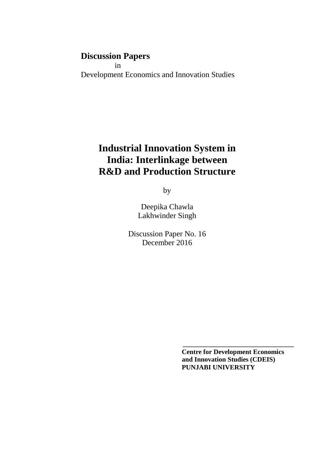## **Discussion Papers**

 in Development Economics and Innovation Studies

# **Industrial Innovation System in India: Interlinkage between R&D and Production Structure**

by

Deepika Chawla Lakhwinder Singh

Discussion Paper No. 16 December 2016

> **Centre for Development Economics and Innovation Studies (CDEIS) PUNJABI UNIVERSITY**

**\_\_\_\_\_\_\_\_\_\_\_\_\_\_\_\_\_\_\_\_\_\_\_\_\_\_\_\_\_\_\_\_\_**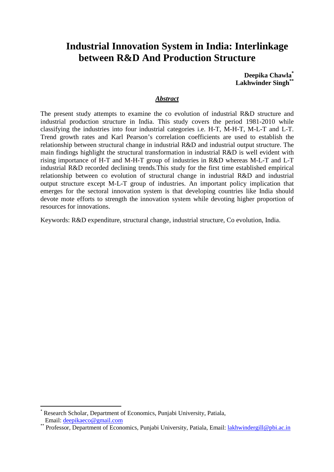## **Industrial Innovation System in India: Interlinkage between R&D And Production Structure**

**Deepika Chawla\* Lakhwinder Singh\*\***

#### *Abstract*

The present study attempts to examine the co evolution of industrial R&D structure and industrial production structure in India. This study covers the period 1981-2010 while classifying the industries into four industrial categories i.e. H-T, M-H-T, M-L-T and L-T. Trend growth rates and Karl Pearson's correlation coefficients are used to establish the relationship between structural change in industrial R&D and industrial output structure. The main findings highlight the structural transformation in industrial R&D is well evident with rising importance of H-T and M-H-T group of industries in R&D whereas M-L-T and L-T industrial R&D recorded declining trends.This study for the first time established empirical relationship between co evolution of structural change in industrial R&D and industrial output structure except M-L-T group of industries. An important policy implication that emerges for the sectoral innovation system is that developing countries like India should devote mote efforts to strength the innovation system while devoting higher proportion of resources for innovations.

Keywords: R&D expenditure, structural change, industrial structure, Co evolution, India.

l

<sup>\*</sup> Research Scholar, Department of Economics, Punjabi University, Patiala, Email: deepikaeco@gmail.com

<sup>\*\*</sup> Professor, Department of Economics, Punjabi University, Patiala, Email: lakhwindergill@pbi.ac.in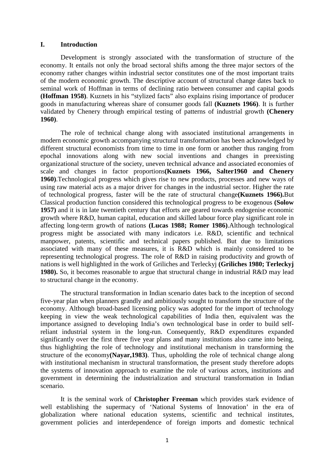#### **I. Introduction**

Development is strongly associated with the transformation of structure of the economy. It entails not only the broad sectoral shifts among the three major sectors of the economy rather changes within industrial sector constitutes one of the most important traits of the modern economic growth. The descriptive account of structural change dates back to seminal work of Hoffman in terms of declining ratio between consumer and capital goods **(Hoffman 1958)**. Kuznets in his "stylized facts" also explains rising importance of producer goods in manufacturing whereas share of consumer goods fall **(Kuznets 1966)**. It is further validated by Chenery through empirical testing of patterns of industrial growth **(Chenery 1960)**.

The role of technical change along with associated institutional arrangements in modern economic growth accompanying structural transformation has been acknowledged by different structural economists from time to time in one form or another thus ranging from epochal innovations along with new social inventions and changes in preexisting organizational structure of the society, uneven technical advance and associated economies of scale and changes in factor proportions**(Kuznets 1966, Salter1960 and Chenery 1960)**.Technological progress which gives rise to new products, processes and new ways of using raw material acts as a major driver for changes in the industrial sector. Higher the rate of technological progress, faster will be the rate of structural change**(Kuznets 1966).**But Classical production function considered this technological progress to be exogenous **(Solow 1957)** and it is in late twentieth century that efforts are geared towards endogenise economic growth where R&D, human capital, education and skilled labour force play significant role in affecting long-term growth of nations **(Lucas 1988; Romer 1986)**.Although technological progress might be associated with many indicators i.e. R&D, scientific and technical manpower, patents, scientific and technical papers published. But due to limitations associated with many of these measures, it is R&D which is mainly considered to be representing technological progress. The role of R&D in raising productivity and growth of nations is well highlighted in the work of Griliches and Terleckyj **(Griliches 1980; Terleckyj 1980).** So, it becomes reasonable to argue that structural change in industrial R&D may lead to structural change in the economy.

The structural transformation in Indian scenario dates back to the inception of second five-year plan when planners grandly and ambitiously sought to transform the structure of the economy. Although broad-based licensing policy was adopted for the import of technology keeping in view the weak technological capabilities of India then, equivalent was the importance assigned to developing India's own technological base in order to build selfreliant industrial system in the long-run. Consequently, R&D expenditures expanded significantly over the first three five year plans and many institutions also came into being, thus highlighting the role of technology and institutional mechanism in transforming the structure of the economy**(Nayar,1983)**. Thus, upholding the role of technical change along with institutional mechanism in structural transformation, the present study therefore adopts the systems of innovation approach to examine the role of various actors, institutions and government in determining the industrialization and structural transformation in Indian scenario.

It is the seminal work of **Christopher Freeman** which provides stark evidence of well establishing the supermacy of 'National Systems of Innovation' in the era of globalization where national education systems, scientific and technical institutes, government policies and interdependence of foreign imports and domestic technical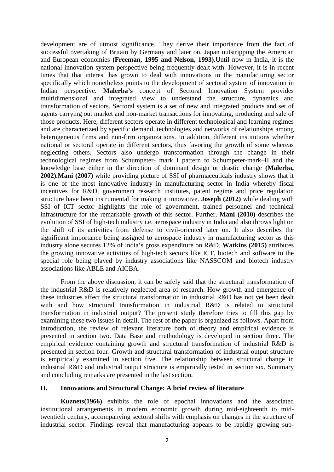development are of utmost significance. They derive their importance from the fact of successful overtaking of Britain by Germany and later on, Japan outstripping the American and European economies **(Freeman, 1995 and Nelson, 1993)**.Until now in India, it is the national innovation system perspective being frequently dealt with. However, it is in recent times that that interest has grown to deal with innovations in the manufacturing sector specifically which nonetheless points to the development of sectoral system of innovation in Indian perspective. **Malerba's** concept of Sectoral Innovation System provides multidimensional and integrated view to understand the structure, dynamics and transformation of sectors. Sectoral system is a set of new and integrated products and set of agents carrying out market and non-market transactions for innovating, producing and sale of those products. Here, different sectors operate in different technological and learning regimes and are characterized by specific demand, technologies and networks of relationships among heterogeneous firms and non-firm organizations. In addition, different institutions whether national or sectoral operate in different sectors, thus favoring the growth of some whereas neglecting others. Sectors also undergo transformation through the change in their technological regimes from Schumpeter- mark I pattern to Schumpeter-mark–II and the knowledge base either in the direction of dominant design or drastic change **(Malerba, 2002).Mani (2007)** while providing picture of SSI of pharmaceuticals industry shows that it is one of the most innovative industry in manufacturing sector in India whereby fiscal incentives for R&D, government research institutes, patent regime and price regulation structure have been instrumental for making it innovative. **Joseph (2012)** while dealing with SSI of ICT sector highlights the role of government, trained personnel and technical infrastructure for the remarkable growth of this sector. Further, **Mani (2010)** describes the evolution of SSI of high-tech industry i.e. aerospace industry in India and also throws light on the shift of its activities from defense to civil-oriented later on. It also describes the significant importance being assigned to aerospace industry in manufacturing sector as this industry alone secures 12% of India's gross expenditure on R&D. **Watkins (2015)** attributes the growing innovative activities of high-tech sectors like ICT, biotech and software to the special role being played by industry associations like NASSCOM and biotech industry associations like ABLE and AICBA.

From the above discussion, it can be safely said that the structural transformation of the industrial R&D is relatively neglected area of research. How growth and emergence of these industries affect the structural transformation in industrial R&D has not yet been dealt with and how structural transformation in industrial R&D is related to structural transformation in industrial output? The present study therefore tries to fill this gap by examining these two issues in detail. The rest of the paper is organized as follows. Apart from introduction, the review of relevant literature both of theory and empirical evidence is presented in section two. Data Base and methodology is developed in section three. The empirical evidence containing growth and structural transformation of industrial R&D is presented in section four. Growth and structural transformation of industrial output structure is empirically examined in section five. The relationship between structural change in industrial R&D and industrial output structure is empirically tested in section six. Summary and concluding remarks are presented in the last section.

#### **II. Innovations and Structural Change: A brief review of literature**

**Kuznets(1966)** exhibits the role of epochal innovations and the associated institutional arrangements in modern economic growth during mid-eighteenth to midtwentieth century, accompanying sectoral shifts with emphasis on changes in the structure of industrial sector. Findings reveal that manufacturing appears to be rapidly growing sub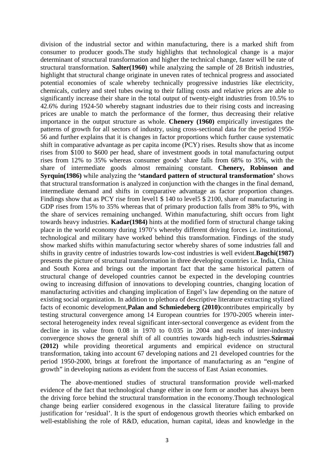division of the industrial sector and within manufacturing, there is a marked shift from consumer to producer goods.The study highlights that technological change is a major determinant of structural transformation and higher the technical change, faster will be rate of structural transformation. **Salter(1960)** while analyzing the sample of 28 British industries, highlight that structural change originate in uneven rates of technical progress and associated potential economies of scale whereby technically progressive industries like electricity, chemicals, cutlery and steel tubes owing to their falling costs and relative prices are able to significantly increase their share in the total output of twenty-eight industries from 10.5% to 42.6% during 1924-50 whereby stagnant industries due to their rising costs and increasing prices are unable to match the performance of the former, thus decreasing their relative importance in the output structure as whole. **Chenery (1960)** empirically investigates the patterns of growth for all sectors of industry, using cross-sectional data for the period 1950- 56 and further explains that it is changes in factor proportions which further cause systematic shift in comparative advantage as per capita income (PCY) rises. Results show that as income rises from \$100 to \$600 per head, share of investment goods in total manufacturing output rises from 12% to 35% whereas consumer goods' share falls from 68% to 35%, with the share of intermediate goods almost remaining constant. **Chenery, Robinson and Syrquin(1986)** while analyzing the **'standard pattern of structural transformation'** shows that structural transformation is analyzed in conjunction with the changes in the final demand, intermediate demand and shifts in comparative advantage as factor proportion changes. Findings show that as PCY rise from level1 \$ 140 to level5 \$ 2100, share of manufacturing in GDP rises from 15% to 35% whereas that of primary production falls from 38% to 9%, with the share of services remaining unchanged. Within manufacturing, shift occurs from light towards heavy industries. **Kadar(1984)** hints at the modified form of structural change taking place in the world economy during 1970's whereby different driving forces i.e. institutional, technological and military have worked behind this transformation. Findings of the study show marked shifts within manufacturing sector whereby shares of some industries fall and shifts in gravity centre of industries towards low-cost industries is well evident.**Bagchi(1987)** presents the picture of structural transformation in three developing countries i.e. India, China and South Korea and brings out the important fact that the same historical pattern of structural change of developed countries cannot be expected in the developing countries owing to increasing diffusion of innovations to developing countries, changing location of manufacturing activities and changing implication of Engel's law depending on the nature of existing social organization. In addition to plethora of descriptive literature extracting stylized facts of economic development,**Palan and Schmiedeberg (2010)**contributes empirically by testing structural convergence among 14 European countries for 1970-2005 wherein intersectoral heterogeneity index reveal significant inter-sectoral convergence as evident from the decline in its value from 0.08 in 1970 to 0.035 in 2004 and results of inter-industry convergence shows the general shift of all countries towards high-tech industries.**Szirmai (2012)** while providing theoretical arguments and empirical evidence on structural transformation, taking into account 67 developing nations and 21 developed countries for the period 1950-2000, brings at forefront the importance of manufacturing as an "engine of growth" in developing nations as evident from the success of East Asian economies.

 The above-mentioned studies of structural transformation provide well-marked evidence of the fact that technological change either in one form or another has always been the driving force behind the structural transformation in the economy.Though technological change being earlier considered exogenous in the classical literature failing to provide justification for 'residual'. It is the spurt of endogenous growth theories which embarked on well-establishing the role of R&D, education, human capital, ideas and knowledge in the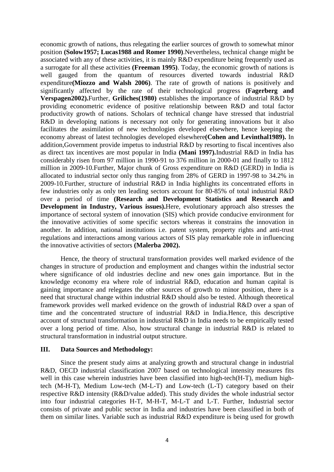economic growth of nations, thus relegating the earlier sources of growth to somewhat minor position **(Solow1957; Lucas1988 and Romer 1990)**.Nevertheless, technical change might be associated with any of these activities, it is mainly R&D expenditure being frequently used as a surrogate for all these activities **(Freeman 1995)**. Today, the economic growth of nations is well gauged from the quantum of resources diverted towards industrial R&D expenditure**(Miozzo and Walsh 2006)**. The rate of growth of nations is positively and significantly affected by the rate of their technological progress **(Fagerberg and Verspagen2002).**Further, **Griliches(1980)** establishes the importance of industrial R&D by providing econometric evidence of positive relationship between R&D and total factor productivity growth of nations. Scholars of technical change have stressed that industrial R&D in developing nations is necessary not only for generating innovations but it also facilitates the assimilation of new technologies developed elsewhere, hence keeping the economy abreast of latest technologies developed elsewhere**(Cohen and Levinthal1989).** In addition,Government provide impetus to industrial R&D by resorting to fiscal incentives also as direct tax incentives are most popular in India **(Mani 1997).**Industrial R&D in India has considerably risen from 97 million in 1990-91 to 376 million in 2000-01 and finally to 1812 million in 2009-10.Further, Major chunk of Gross expenditure on R&D (GERD) in India is allocated to industrial sector only thus ranging from 28% of GERD in 1997-98 to 34.2% in 2009-10.Further, structure of industrial R&D in India highlights its concentrated efforts in few industries only as only ten leading sectors account for 80-85% of total industrial R&D over a period of time **(Research and Development Statistics and Research and Development in Industry, Various issues).**Here, evolutionary approach also stresses the importance of sectoral system of innovation (SIS) which provide conducive environment for the innovative activities of some specific sectors whereas it constrains the innovation in another. In addition, national institutions i.e. patent system, property rights and anti-trust regulations and interactions among various actors of SIS play remarkable role in influencing the innovative activities of sectors **(Malerba 2002).**

Hence, the theory of structural transformation provides well marked evidence of the changes in structure of production and employment and changes within the industrial sector where significance of old industries decline and new ones gain importance. But in the knowledge economy era where role of industrial R&D, education and human capital is gaining importance and relegates the other sources of growth to minor position, there is a need that structural change within industrial R&D should also be tested. Although theoretical framework provides well marked evidence on the growth of industrial R&D over a span of time and the concentrated structure of industrial R&D in India.Hence, this descriptive account of structural transformation in industrial R&D in India needs to be empirically tested over a long period of time. Also, how structural change in industrial R&D is related to structural transformation in industrial output structure.

#### **III. Data Sources and Methodology:**

 Since the present study aims at analyzing growth and structural change in industrial R&D, OECD industrial classification 2007 based on technological intensity measures fits well in this case wherein industries have been classified into high-tech(H-T), medium hightech (M-H-T), Medium Low-tech (M-L-T) and Low-tech (L-T) category based on their respective R&D intensity (R&D/value added). This study divides the whole industrial sector into four industrial categories H-T, M-H-T, M-L-T and L-T. Further, Industrial sector consists of private and public sector in India and industries have been classified in both of them on similar lines. Variable such as industrial R&D expenditure is being used for growth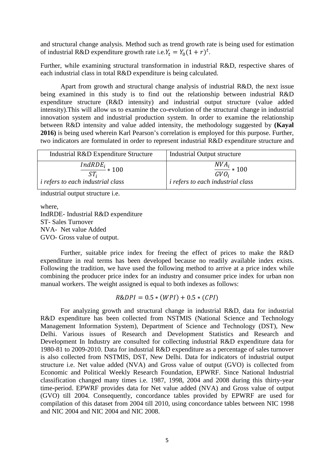and structural change analysis. Method such as trend growth rate is being used for estimation of industrial R&D expenditure growth rate i.e.  $Y_t = Y_0(1 + r)^t$ .

Further, while examining structural transformation in industrial R&D, respective shares of each industrial class in total R&D expenditure is being calculated.

Apart from growth and structural change analysis of industrial R&D, the next issue being examined in this study is to find out the relationship between industrial R&D expenditure structure (R&D intensity) and industrial output structure (value added intensity).This will allow us to examine the co-evolution of the structural change in industrial innovation system and industrial production system. In order to examine the relationship between R&D intensity and value added intensity, the methodology suggested by **(Kayal 2016)** is being used wherein Karl Pearson's correlation is employed for this purpose. Further, two indicators are formulated in order to represent industrial R&D expenditure structure and

| Industrial R&D Expenditure Structure              | Industrial Output structure              |
|---------------------------------------------------|------------------------------------------|
| $\frac{IndRDE_i}{\sqrt{1-\frac{1}{2}} \cdot 100}$ | $\frac{NVA_i}{GVO_i}*100$                |
| <i>i</i> refers to each industrial class          | <i>i refers to each industrial class</i> |

industrial output structure i.e.

where, IndRDE- Industrial R&D expenditure ST- Sales Turnover NVA- Net value Added GVO- Gross value of output.

Further, suitable price index for freeing the effect of prices to make the R&D expenditure in real terms has been developed because no readily available index exists. Following the tradition, we have used the following method to arrive at a price index while combining the producer price index for an industry and consumer price index for urban non manual workers. The weight assigned is equal to both indexes as follows:

$$
R\&DPI = 0.5 * (WPI) + 0.5 * (CPI)
$$

For analyzing growth and structural change in industrial R&D, data for industrial R&D expenditure has been collected from NSTMIS (National Science and Technology Management Information System), Department of Science and Technology (DST), New Delhi. Various issues of Research and Development Statistics and Research and Development In Industry are consulted for collecting industrial R&D expenditure data for 1980-81 to 2009-2010. Data for industrial R&D expenditure as a percentage of sales turnover is also collected from NSTMIS, DST, New Delhi. Data for indicators of industrial output structure i.e. Net value added (NVA) and Gross value of output (GVO) is collected from Economic and Political Weekly Research Foundation, EPWRF. Since National Industrial classification changed many times i.e. 1987, 1998, 2004 and 2008 during this thirty-year time-period. EPWRF provides data for Net value added (NVA) and Gross value of output (GVO) till 2004. Consequently, concordance tables provided by EPWRF are used for compilation of this dataset from 2004 till 2010, using concordance tables between NIC 1998 and NIC 2004 and NIC 2004 and NIC 2008.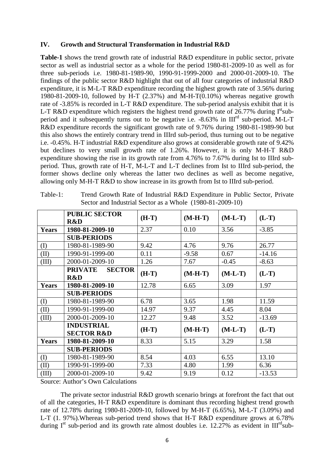#### **IV. Growth and Structural Transformation in Industrial R&D**

**Table-1** shows the trend growth rate of industrial R&D expenditure in public sector, private sector as well as industrial sector as a whole for the period 1980-81-2009-10 as well as for three sub-periods i.e. 1980-81-1989-90, 1990-91-1999-2000 and 2000-01-2009-10. The findings of the public sector R&D highlight that out of all four categories of industrial R&D expenditure, it is M-L-T R&D expenditure recording the highest growth rate of 3.56% during 1980-81-2009-10, followed by H-T (2.37%) and M-H-T(0.10%) whereas negative growth rate of -3.85% is recorded in L-T R&D expenditure. The sub-period analysis exhibit that it is L-T R&D expenditure which registers the highest trend growth rate of 26.77% during  $I^{st}$ subperiod and it subsequently turns out to be negative i.e. -8.63% in III<sup>rd</sup> sub-period. M-L-T R&D expenditure records the significant growth rate of 9.76% during 1980-81-1989-90 but this also shows the entirely contrary trend in IIIrd sub-period, thus turning out to be negative i.e. -0.45%. H-T industrial R&D expenditure also grows at considerable growth rate of 9.42% but declines to very small growth rate of 1.26%. However, it is only M-H-T R&D expenditure showing the rise in its growth rate from 4.76% to 7.67% during Ist to IIIrd subperiod. Thus, growth rate of H-T, M-L-T and L-T declines from Ist to IIIrd sub-period, the former shows decline only whereas the latter two declines as well as become negative, allowing only M-H-T R&D to show increase in its growth from Ist to IIIrd sub-period.

|              | <b>PUBLIC SECTOR</b>            | $(H-T)$ | $(M-H-T)$ | $(M-L-T)$ | $(L-T)$  |
|--------------|---------------------------------|---------|-----------|-----------|----------|
|              | R&D                             |         |           |           |          |
| <b>Years</b> | 1980-81-2009-10                 | 2.37    | 0.10      | 3.56      | $-3.85$  |
|              | <b>SUB-PERIODS</b>              |         |           |           |          |
| (I)          | 1980-81-1989-90                 | 9.42    | 4.76      | 9.76      | 26.77    |
| (II)         | 1990-91-1999-00                 | 0.11    | $-9.58$   | 0.67      | $-14.16$ |
| (III)        | 2000-01-2009-10                 | 1.26    | 7.67      | $-0.45$   | $-8.63$  |
|              | <b>PRIVATE</b><br><b>SECTOR</b> |         |           |           |          |
|              | R&D                             | $(H-T)$ | $(M-H-T)$ | $(M-L-T)$ | $(L-T)$  |
| <b>Years</b> | 1980-81-2009-10                 | 12.78   | 6.65      | 3.09      | 1.97     |
|              | <b>SUB-PERIODS</b>              |         |           |           |          |
| (I)          | 1980-81-1989-90                 | 6.78    | 3.65      | 1.98      | 11.59    |
| (II)         | 1990-91-1999-00                 | 14.97   | 9.37      | 4.45      | 8.04     |
| (III)        | 2000-01-2009-10                 | 12.27   | 9.48      | 3.52      | $-13.69$ |
|              | <b>INDUSTRIAL</b>               |         |           |           |          |
|              | <b>SECTOR R&amp;D</b>           | $(H-T)$ | $(M-H-T)$ | $(M-L-T)$ | $(L-T)$  |
| <b>Years</b> | 1980-81-2009-10                 | 8.33    | 5.15      | 3.29      | 1.58     |
|              | <b>SUB-PERIODS</b>              |         |           |           |          |
| (I)          | 1980-81-1989-90                 | 8.54    | 4.03      | 6.55      | 13.10    |
| (II)         | 1990-91-1999-00                 | 7.33    | 4.80      | 1.99      | 6.36     |
| (III)        | 2000-01-2009-10                 | 9.42    | 9.19      | 0.12      | $-13.53$ |

Table-1: Trend Growth Rate of Industrial R&D Expenditure in Public Sector, Private Sector and Industrial Sector as a Whole (1980-81-2009-10)

Source: Author's Own Calculations

 The private sector industrial R&D growth scenario brings at forefront the fact that out of all the categories, H-T R&D expenditure is dominant thus recording highest trend growth rate of 12.78% during 1980-81-2009-10, followed by M-H-T (6.65%), M-L-T (3.09%) and L-T (1. 97%).Whereas sub-period trend shows that H-T R&D expenditure grows at 6.78% during  $I<sup>st</sup>$  sub-period and its growth rate almost doubles i.e. 12.27% as evident in  $III<sup>rd</sup>sub$ -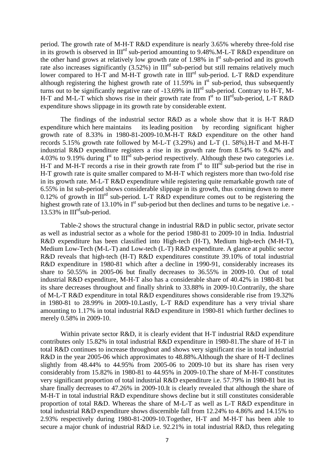period. The growth rate of M-H-T R&D expenditure is nearly 3.65% whereby three-fold rise in its growth is observed in  $III<sup>rd</sup>$  sub-period amounting to 9.48%.M-L-T R&D expenditure on the other hand grows at relatively low growth rate of 1.98% in  $I<sup>st</sup>$  sub-period and its growth rate also increases significantly  $(3.52\%)$  in  $III<sup>rd</sup>$  sub-period but still remains relatively much lower compared to H-T and M-H-T growth rate in  $III^{rd}$  sub-period. L-T R&D expenditure although registering the highest growth rate of 11.59% in  $I<sup>st</sup>$  sub-period, thus subsequently turns out to be significantly negative rate of -13.69% in  $III<sup>rd</sup>$  sub-period. Contrary to H-T, M-H-T and M-L-T which shows rise in their growth rate from  $I<sup>st</sup>$  to  $III<sup>rd</sup>sub-period$ , L-T R&D expenditure shows slippage in its growth rate by considerable extent.

 The findings of the industrial sector R&D as a whole show that it is H-T R&D expenditure which here maintains its leading position by recording significant higher growth rate of 8.33% in 1980-81-2009-10.M-H-T R&D expenditure on the other hand records 5.15% growth rate followed by M-L-T (3.29%) and L-T (1. 58%).H-T and M-H-T industrial R&D expenditure registers a rise in its growth rate from 8.54% to 9.42% and 4.03% to 9.19% during  $I<sup>st</sup>$  to  $III<sup>rd</sup>$  sub-period respectively. Although these two categories i.e. H-T and M-H-T records a rise in their growth rate from  $I<sup>st</sup>$  to  $III<sup>rd</sup>$  sub-period but the rise in H-T growth rate is quite smaller compared to M-H-T which registers more than two-fold rise in its growth rate. M-L-T R&D expenditure while registering quite remarkable growth rate of 6.55% in Ist sub-period shows considerable slippage in its growth, thus coming down to mere 0.12% of growth in  $III<sup>rd</sup>$  sub-period. L-T R&D expenditure comes out to be registering the highest growth rate of 13.10% in  $I<sup>st</sup>$  sub-period but then declines and turns to be negative i.e. -13.53% in  $III^{\text{rd}}$ sub-period.

Table-2 shows the structural change in industrial R&D in public sector, private sector as well as industrial sector as a whole for the period 1980-81 to 2009-10 in India. Industrial R&D expenditure has been classified into High-tech (H-T), Medium high-tech (M-H-T), Medium Low-Tech (M-L-T) and Low-tech (L-T) R&D expenditure. A glance at public sector R&D reveals that high-tech (H-T) R&D expenditures constitute 39.10% of total industrial R&D expenditure in 1980-81 which after a decline in 1990-91, considerably increases its share to 50.55% in 2005-06 but finally decreases to 36.55% in 2009-10. Out of total industrial R&D expenditure, M-H-T also has a considerable share of 40.42% in 1980-81 but its share decreases throughout and finally shrink to 33.88% in 2009-10.Contrarily, the share of M-L-T R&D expenditure in total R&D expenditures shows considerable rise from 19.32% in 1980-81 to 28.99% in 2009-10.Lastly, L-T R&D expenditure has a very trivial share amounting to 1.17% in total industrial R&D expenditure in 1980-81 which further declines to merely 0.58% in 2009-10.

Within private sector R&D, it is clearly evident that H-T industrial R&D expenditure contributes only 15.82% in total industrial R&D expenditure in 1980-81.The share of H-T in total R&D continues to increase throughout and shows very significant rise in total industrial R&D in the year 2005-06 which approximates to 48.88%.Although the share of H-T declines slightly from 48.44% to 44.95% from 2005-06 to 2009-10 but its share has risen very considerably from 15.82% in 1980-81 to 44.95% in 2009-10.The share of M-H-T constitutes very significant proportion of total industrial R&D expenditure i.e. 57.79% in 1980-81 but its share finally decreases to 47.26% in 2009-10.It is clearly revealed that although the share of M-H-T in total industrial R&D expenditure shows decline but it still constitutes considerable proportion of total R&D. Whereas the share of M-L-T as well as L-T R&D expenditure in total industrial R&D expenditure shows discernible fall from 12.24% to 4.86% and 14.15% to 2.93% respectively during 1980-81-2009-10.Together, H-T and M-H-T has been able to secure a major chunk of industrial R&D i.e. 92.21% in total industrial R&D, thus relegating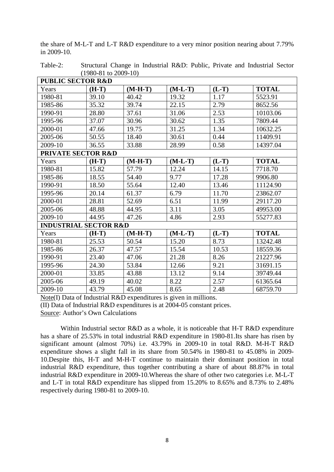| $(1700 - 01 W 2007 - 10)$        |         |           |           |         |              |
|----------------------------------|---------|-----------|-----------|---------|--------------|
| <b>PUBLIC SECTOR R&amp;D</b>     |         |           |           |         |              |
| Years                            | $(H-T)$ | $(M-H-T)$ | $(M-L-T)$ | $(L-T)$ | <b>TOTAL</b> |
| 1980-81                          | 39.10   | 40.42     | 19.32     | 1.17    | 5523.91      |
| 1985-86                          | 35.32   | 39.74     | 22.15     | 2.79    | 8652.56      |
| 1990-91                          | 28.80   | 37.61     | 31.06     | 2.53    | 10103.06     |
| 1995-96                          | 37.07   | 30.96     | 30.62     | 1.35    | 7809.44      |
| 2000-01                          | 47.66   | 19.75     | 31.25     | 1.34    | 10632.25     |
| 2005-06                          | 50.55   | 18.40     | 30.61     | 0.44    | 11409.91     |
| 2009-10                          | 36.55   | 33.88     | 28.99     | 0.58    | 14397.04     |
| PRIVATE SECTOR R&D               |         |           |           |         |              |
| Years                            | $(H-T)$ | $(M-H-T)$ | $(M-L-T)$ | $(L-T)$ | <b>TOTAL</b> |
| 1980-81                          | 15.82   | 57.79     | 12.24     | 14.15   | 7718.70      |
| 1985-86                          | 18.55   | 54.40     | 9.77      | 17.28   | 9906.80      |
| 1990-91                          | 18.50   | 55.64     | 12.40     | 13.46   | 11124.90     |
| 1995-96                          | 20.14   | 61.37     | 6.79      | 11.70   | 23862.07     |
| 2000-01                          | 28.81   | 52.69     | 6.51      | 11.99   | 29117.20     |
| 2005-06                          | 48.88   | 44.95     | 3.11      | 3.05    | 49953.00     |
| 2009-10                          | 44.95   | 47.26     | 4.86      | 2.93    | 55277.83     |
| <b>INDUSTRIAL SECTOR R&amp;D</b> |         |           |           |         |              |
| Years                            | $(H-T)$ | $(M-H-T)$ | $(M-L-T)$ | $(L-T)$ | <b>TOTAL</b> |
| 1980-81                          | 25.53   | 50.54     | 15.20     | 8.73    | 13242.48     |
| 1985-86                          | 26.37   | 47.57     | 15.54     | 10.53   | 18559.36     |
| 1990-91                          | 23.40   | 47.06     | 21.28     | 8.26    | 21227.96     |
| 1995-96                          | 24.30   | 53.84     | 12.66     | 9.21    | 31691.15     |
| 2000-01                          | 33.85   | 43.88     | 13.12     | 9.14    | 39749.44     |
| 2005-06                          | 49.19   | 40.02     | 8.22      | 2.57    | 61365.64     |
| 2009-10                          | 43.79   | 45.08     | 8.65      | 2.48    | 68759.70     |

the share of M-L-T and L-T R&D expenditure to a very minor position nearing about 7.79% in 2009-10.

Table-2: Structural Change in Industrial R&D: Public, Private and Industrial Sector  $(1080.81 \text{ to } 2000.10)$ 

Note(I) Data of Industrial R&D expenditures is given in millions.

(II) Data of Industrial R&D expenditures is at 2004-05 constant prices.

Source: Author's Own Calculations

Within Industrial sector R&D as a whole, it is noticeable that H-T R&D expenditure has a share of 25.53% in total industrial R&D expenditure in 1980-81.Its share has risen by significant amount (almost 70%) i.e. 43.79% in 2009-10 in total R&D. M-H-T R&D expenditure shows a slight fall in its share from 50.54% in 1980-81 to 45.08% in 2009- 10.Despite this, H-T and M-H-T continue to maintain their dominant position in total industrial R&D expenditure, thus together contributing a share of about 88.87% in total industrial R&D expenditure in 2009-10.Whereas the share of other two categories i.e. M-L-T and L-T in total R&D expenditure has slipped from 15.20% to 8.65% and 8.73% to 2.48% respectively during 1980-81 to 2009-10.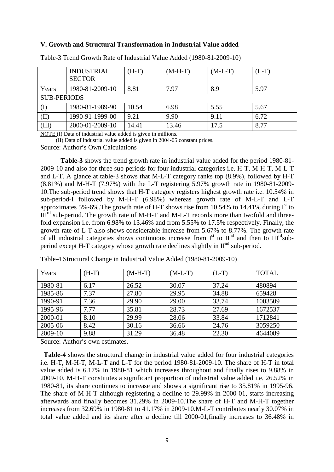#### **V. Growth and Structural Transformation in Industrial Value added**

|                    | <b>INDUSTRIAL</b><br><b>SECTOR</b> | $(H-T)$ | $(M-H-T)$ | $(M-L-T)$ | $(L-T)$ |
|--------------------|------------------------------------|---------|-----------|-----------|---------|
| Years              | 1980-81-2009-10                    | 8.81    | 7.97      | 8.9       | 5.97    |
| <b>SUB-PERIODS</b> |                                    |         |           |           |         |
| (I)                | 1980-81-1989-90                    | 10.54   | 6.98      | 5.55      | 5.67    |
| (II)               | 1990-91-1999-00                    | 9.21    | 9.90      | 9.11      | 6.72    |
| (III)              | 2000-01-2009-10                    | 14.41   | 13.46     | 17.5      | 8.77    |

Table-3 Trend Growth Rate of Industrial Value Added (1980-81-2009-10)

NOTE (I) Data of industrial value added is given in millions.

(II) Data of industrial value added is given in 2004-05 constant prices.

Source: Author's Own Calculations

**Table-3** shows the trend growth rate in industrial value added for the period 1980-81- 2009-10 and also for three sub-periods for four industrial categories i.e. H-T, M-H-T, M-L-T and L-T. A glance at table-3 shows that M-L-T category ranks top (8.9%), followed by H-T (8.81%) and M-H-T (7.97%) with the L-T registering 5.97% growth rate in 1980-81-2009- 10.The sub-period trend shows that H-T category registers highest growth rate i.e. 10.54% in sub-period-I followed by M-H-T (6.98%) whereas growth rate of M-L-T and L-T approximates 5%-6%. The growth rate of H-T shows rise from 10.54% to 14.41% during  $I<sup>st</sup>$  to  $III<sup>rd</sup>$  sub-period. The growth rate of M-H-T and M-L-T records more than twofold and threefold expansion i.e. from 6.98% to 13.46% and from 5.55% to 17.5% respectively. Finally, the growth rate of L-T also shows considerable increase from 5.67% to 8.77%. The growth rate of all industrial categories shows continuous increase from  $I<sup>st</sup>$  to  $II<sup>nd</sup>$  and then to  $III<sup>rd</sup>$ subperiod except H-T category whose growth rate declines slightly in  $II<sup>nd</sup>$  sub-period.

| Years   | $(H-T)$ | $(M-H-T)$ | $(M-L-T)$ | $(L-T)$ | <b>TOTAL</b> |
|---------|---------|-----------|-----------|---------|--------------|
| 1980-81 | 6.17    | 26.52     | 30.07     | 37.24   | 480894       |
| 1985-86 | 7.37    | 27.80     | 29.95     | 34.88   | 659428       |
| 1990-91 | 7.36    | 29.90     | 29.00     | 33.74   | 1003509      |
| 1995-96 | 7.77    | 35.81     | 28.73     | 27.69   | 1672537      |
| 2000-01 | 8.10    | 29.99     | 28.06     | 33.84   | 1712841      |
| 2005-06 | 8.42    | 30.16     | 36.66     | 24.76   | 3059250      |
| 2009-10 | 9.88    | 31.29     | 36.48     | 22.30   | 4644089      |

Table-4 Structural Change in Industrial Value Added (1980-81-2009-10)

Source: Author's own estimates.

 **Table-4** shows the structural change in industrial value added for four industrial categories i.e. H-T, M-H-T, M-L-T and L-T for the period 1980-81-2009-10. The share of H-T in total value added is 6.17% in 1980-81 which increases throughout and finally rises to 9.88% in 2009-10. M-H-T constitutes a significant proportion of industrial value added i.e. 26.52% in 1980-81, its share continues to increase and shows a significant rise to 35.81% in 1995-96. The share of M-H-T although registering a decline to 29.99% in 2000-01, starts increasing afterwards and finally becomes 31.29% in 2009-10.The share of H-T and M-H-T together increases from 32.69% in 1980-81 to 41.17% in 2009-10.M-L-T contributes nearly 30.07% in total value added and its share after a decline till 2000-01,finally increases to 36.48% in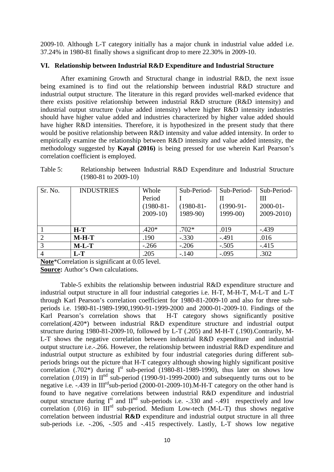2009-10. Although L-T category initially has a major chunk in industrial value added i.e. 37.24% in 1980-81 finally shows a significant drop to mere 22.30% in 2009-10.

#### **VI. Relationship between Industrial R&D Expenditure and Industrial Structure**

After examining Growth and Structural change in industrial R&D, the next issue being examined is to find out the relationship between industrial R&D structure and industrial output structure. The literature in this regard provides well-marked evidence that there exists positive relationship between industrial R&D structure (R&D intensity) and industrial output structure (value added intensity) where higher R&D intensity industries should have higher value added and industries characterized by higher value added should have higher R&D intensities. Therefore, it is hypothesized in the present study that there would be positive relationship between R&D intensity and value added intensity. In order to empirically examine the relationship between R&D intensity and value added intensity, the methodology suggested by **Kayal (2016)** is being pressed for use wherein Karl Pearson's correlation coefficient is employed.

Table 5: Relationship between Industrial R&D Expenditure and Industrial Structure (1980-81 to 2009-10)

| Sr. No.        | <b>INDUSTRIES</b> | Whole       | Sub-Period- | Sub-Period- | Sub-Period-   |
|----------------|-------------------|-------------|-------------|-------------|---------------|
|                |                   | Period      |             | Н           | Ш             |
|                |                   | $(1980-81-$ | $(1980-81-$ | $(1990-91-$ | $2000 - 01 -$ |
|                |                   | $2009-10$   | $1989-90$   | $1999-00$   | $2009 - 2010$ |
|                |                   |             |             |             |               |
|                | $H-T$             | $.420*$     | $.702*$     | .019        | $-439$        |
| $\overline{2}$ | $M-H-T$           | .190        | $-.330$     | $-.491$     | .016          |
| 3              | $M-L-T$           | $-.266$     | $-.206$     | $-.505$     | $-.415$       |
|                | $L-T$             | .205        | $-.140$     | $-.095$     | .302          |

**Note**\*Correlation is significant at 0.05 level.

**Source:** Author's Own calculations.

Table-5 exhibits the relationship between industrial R&D expenditure structure and industrial output structure in all four industrial categories i.e. H-T, M-H-T, M-L-T and L-T through Karl Pearson's correlation coefficient for 1980-81-2009-10 and also for three subperiods i.e. 1980-81-1989-1990,1990-91-1999-2000 and 2000-01-2009-10. Findings of the Karl Pearson's correlation shows that H-T category shows significantly positive correlation(.420\*) between industrial R&D expenditure structure and industrial output structure during 1980-81-2009-10, followed by L-T (.205) and M-H-T (.190).Contrarily, M-L-T shows the negative correlation between industrial R&D expenditure and industrial output structure i.e.-.266. However, the relationship between industrial R&D expenditure and industrial output structure as exhibited by four industrial categories during different subperiods brings out the picture that H-T category although showing highly significant positive correlation  $(.702^*)$  during  $I<sup>st</sup>$  sub-period  $(1980-81-1989-1990)$ , thus later on shows low correlation (.019) in  $II<sup>nd</sup>$  sub-period (1990-91-1999-2000) and subsequently turns out to be negative i.e. -.439 in III<sup>rd</sup>sub-period (2000-01-2009-10).M-H-T category on the other hand is found to have negative correlations between industrial R&D expenditure and industrial output structure during  $I^{st}$  and  $II^{nd}$  sub-periods i.e. -.330 and -.491 respectively and low correlation (.016) in  $III<sup>rd</sup>$  sub-period. Medium Low-tech (M-L-T) thus shows negative correlation between industrial **R&D** expenditure and industrial output structure in all three sub-periods i.e. -.206, -.505 and -.415 respectively. Lastly, L-T shows low negative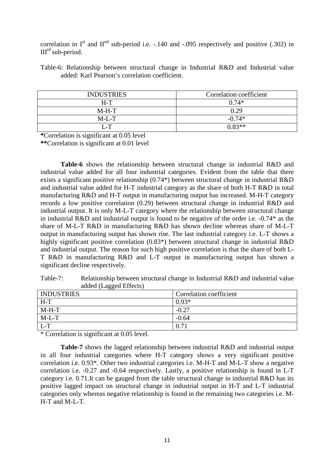correlation in  $I<sup>st</sup>$  and  $II<sup>nd</sup>$  sub-period i.e. -.140 and -.095 respectively and positive (.302) in IIIrd sub-period.

Table-6: Relationship between structural change in Industrial R&D and Industrial value added: Karl Pearson's correlation coefficient.

| <b>INDUSTRIES</b>   | Correlation coefficient |
|---------------------|-------------------------|
| $H-T$               | $0.74*$                 |
| $M-H-T$             | 0.29                    |
| $M-I$ <sub>-T</sub> | $-0.74*$                |
| 7 - T               | $0.83**$                |

**\***Correlation is significant at 0.05 level

**\*\***Correlation is significant at 0.01 level

**Table-6** shows the relationship between structural change in industrial R&D and industrial value added for all four industrial categories. Evident from the table that there exists a significant positive relationship (0.74\*) between structural change in industrial R&D and industrial value added for H-T industrial category as the share of both H-T R&D in total manufacturing R&D and H-T output in manufacturing output has increased. M-H-T category records a low positive correlation (0.29) between structural change in industrial R&D and industrial output. It is only M-L-T category where the relationship between structural change in industrial R&D and industrial output is found to be negative of the order i.e. -0.74\* as the share of M-L-T R&D in manufacturing R&D has shown decline whereas share of M-L-T output in manufacturing output has shown rise. The last industrial category i.e. L-T shows a highly significant positive correlation (0.83<sup>\*</sup>) between structural change in industrial R&D and industrial output. The reason for such high positive correlation is that the share of both L-T R&D in manufacturing R&D and L-T output in manufacturing output has shown a significant decline respectively.

Table-7: Relationship between structural change in Industrial R&D and industrial value added (Lagged Effects)

| ັ                 |                         |
|-------------------|-------------------------|
| <b>INDUSTRIES</b> | Correlation coefficient |
| $H-T$             | $0.93*$                 |
| $M-H-T$           | $-0.27$                 |
| $M-L-T$           | $-0.64$                 |
| $L-T$             | 0.71                    |

\* Correlation is significant at 0.05 level.

**Table-7** shows the lagged relationship between industrial R&D and industrial output in all four industrial categories where H-T category shows a very significant positive correlation i.e. 0.93\*. Other two industrial categories i.e. M-H-T and M-L-T show a negative correlation i.e. -0.27 and -0.64 respectively. Lastly, a positive relationship is found in L-T category i.e. 0.71.It can be gauged from the table structural change in industrial R&D has its positive lagged impact on structural change in industrial output in H-T and L-T industrial categories only whereas negative relationship is found in the remaining two categories i.e. M-H-T and M-L-T.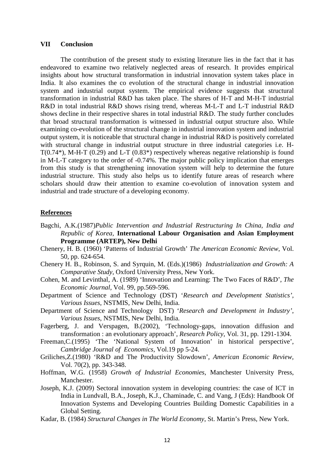#### **VII Conclusion**

The contribution of the present study to existing literature lies in the fact that it has endeavored to examine two relatively neglected areas of research. It provides empirical insights about how structural transformation in industrial innovation system takes place in India. It also examines the co evolution of the structural change in industrial innovation system and industrial output system. The empirical evidence suggests that structural transformation in industrial R&D has taken place. The shares of H-T and M-H-T industrial R&D in total industrial R&D shows rising trend, whereas M-L-T and L-T industrial R&D shows decline in their respective shares in total industrial R&D. The study further concludes that broad structural transformation is witnessed in industrial output structure also. While examining co-evolution of the structural change in industrial innovation system and industrial output system, it is noticeable that structural change in industrial R&D is positively correlated with structural change in industrial output structure in three industrial categories i.e. H-T(0.74\*), M-H-T (0.29) and L-T (0.83\*) respectively whereas negative relationship is found in M-L-T category to the order of -0.74%. The major public policy implication that emerges from this study is that strengthening innovation system will help to determine the future industrial structure. This study also helps us to identify future areas of research where scholars should draw their attention to examine co-evolution of innovation system and industrial and trade structure of a developing economy.

#### **References**

- Bagchi, A.K.(1987)*Public Intervention and Industrial Restructuring In China, India and Republic of Korea,* **International Labour Organisation and Asian Employment Programme (ARTEP), New Delhi**
- Chenery, H. B. (1960) 'Patterns of Industrial Growth' *The American Economic Review*, Vol. 50, pp. 624-654.
- Chenery H. B., Robinson, S. and Syrquin, M. (Eds.)(1986) *Industrialization and Growth: A Comparative Study*, Oxford University Press, New York.
- Cohen, M. and Levinthal, A. (1989) 'Innovation and Learning: The Two Faces of R&D', *The Economic Journal,* Vol. 99, pp.569-596.
- Department of Science and Technology (DST) '*Research and Development Statistics', Various Issues*, NSTMIS, New Delhi, India.
- Department of Science and Technology DST) '*Research and Development in Industry'*, *Various Issues*, NSTMIS, New Delhi, India.
- Fagerberg, J. and Verspagen, B.(2002), 'Technology-gaps, innovation diffusion and transformation : an evolutionary approach', *Research Policy*, Vol. 31, pp. 1291-1304.
- Freeman,C.(1995) 'The 'National System of Innovation' in historical perspective', *Cambridge Journal of Economics*, Vol.19 pp 5-24.
- Griliches,Z.(1980) 'R&D and The Productivity Slowdown', *American Economic Review,*  Vol. 70(2), pp. 343-348.
- Hoffman, W.G. (1958) *Growth of Industrial Economies*, Manchester University Press, Manchester.
- Joseph, K.J. (2009) Sectoral innovation system in developing countries: the case of ICT in India in Lundvall, B.A., Joseph, K.J., Chaminade, C. and Vang, J (Eds): Handbook Of Innovation Systems and Developing Countries Building Domestic Capabilities in a Global Setting.
- Kadar, B. (1984) *Structural Changes in The World Economy*, St. Martin's Press, New York.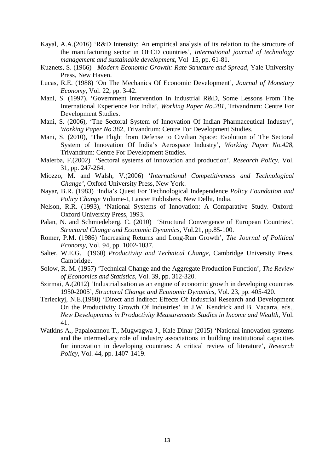- Kayal, A.A.(2016) 'R&D Intensity: An empirical analysis of its relation to the structure of the manufacturing sector in OECD countries', *International journal of technology management and sustainable development,* Vol 15, pp. 61-81.
- Kuznets, S. (1966) *Modern Economic Growth: Rate Structure and Spread*, Yale University Press, New Haven.
- Lucas, R.E. (1988) 'On The Mechanics Of Economic Development', *Journal of Monetary Economy*, Vol. 22, pp. 3-42.
- Mani, S. (1997), 'Government Intervention In Industrial R&D, Some Lessons From The International Experience For India', *Working Paper No.281,* Trivandrum: Centre For Development Studies.
- Mani, S. (2006), 'The Sectoral System of Innovation Of Indian Pharmaceutical Industry', *Working Paper No* 382, Trivandrum: Centre For Development Studies.
- Mani, S. (2010), 'The Flight from Defense to Civilian Space: Evolution of The Sectoral System of Innovation Of India's Aerospace Industry', *Working Paper No.428,*  Trivandrum: Centre For Development Studies.
- Malerba, F.(2002) 'Sectoral systems of innovation and production', *Research Policy,* Vol. 31, pp. 247-264.
- Miozzo, M. and Walsh, V.(2006) '*International Competitiveness and Technological Change',* Oxford University Press, New York.
- Nayar, B.R. (1983) 'India's Quest For Technological Independence *Policy Foundation and Policy Change* Volume-I, Lancer Publishers, New Delhi, India.
- Nelson, R.R. (1993), 'National Systems of Innovation: A Comparative Study. Oxford: Oxford University Press, 1993.
- Palan, N. and Schmiedeberg, C. (2010) 'Structural Convergence of European Countries', *Structural Change and Economic Dynamics,* Vol.21, pp.85-100.
- Romer, P.M. (1986) 'Increasing Returns and Long-Run Growth', *The Journal of Political Economy*, Vol. 94, pp. 1002-1037.
- Salter, W.E.G. (1960) *Productivity and Technical Change*, Cambridge University Press, Cambridge.
- Solow, R. M. (1957) 'Technical Change and the Aggregate Production Function', *The Review of Economics and Statistics*, Vol. 39, pp. 312-320.
- Szirmai, A.(2012) 'Industrialisation as an engine of economic growth in developing countries 1950-2005', *Structural Change and Economic Dynamics,* Vol. 23, pp. 405-420.
- Terleckyj, N.E.(1980) 'Direct and Indirect Effects Of Industrial Research and Development On the Productivity Growth Of Industries' in J.W. Kendrick and B. Vacarra, eds., *New Developments in Productivity Measurements Studies in Income and Wealth,* Vol. 41.
- Watkins A., Papaioannou T., Mugwagwa J., Kale Dinar (2015) 'National innovation systems and the intermediary role of industry associations in building institutional capacities for innovation in developing countries: A critical review of literature', *Research Policy*, Vol. 44, pp. 1407-1419.